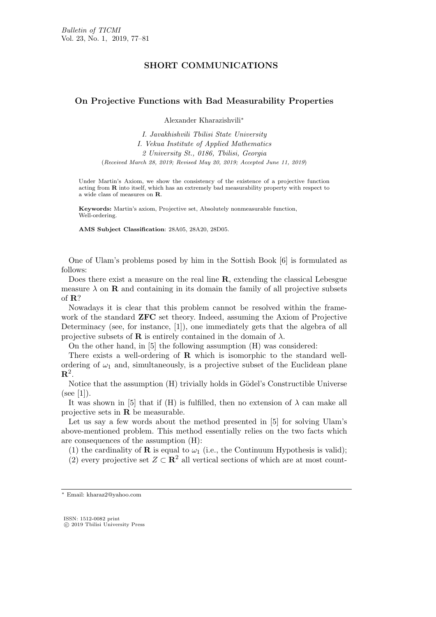## SHORT COMMUNICATIONS

## **On Projective Functions with Bad Measurability Properties**

Alexander Kharazishvili*∗*

*I. Javakhishvili Tbilisi State University I. Vekua Institute of Applied Mathematics 2 University St., 0186, Tbilisi, Georgia* (*Received March 28, 2019; Revised May 20, 2019; Accepted June 11, 2019*)

Under Martin's Axiom, we show the consistency of the existence of a projective function acting from **R** into itself, which has an extremely bad measurability property with respect to a wide class of measures on **R**.

**Keywords:** Martin's axiom, Projective set, Absolutely nonmeasurable function, Well-ordering.

**AMS Subject Classification**: 28A05, 28A20, 28D05.

One of Ulam's problems posed by him in the Sottish Book [6] is formulated as follows:

Does there exist a measure on the real line **R**, extending the classical Lebesgue measure  $\lambda$  on **R** and containing in its domain the family of all projective subsets of **R**?

Nowadays it is clear that this problem cannot be resolved within the framework of the standard **ZFC** set theory. Indeed, assuming the Axiom of Projective Determinacy (see, for instance, [1]), one immediately gets that the algebra of all projective subsets of **R** is entirely contained in the domain of  $\lambda$ .

On the other hand, in [5] the following assumption (H) was considered:

There exists a well-ordering of **R** which is isomorphic to the standard wellordering of  $\omega_1$  and, simultaneously, is a projective subset of the Euclidean plane  $\mathbf{R}^2$ .

Notice that the assumption  $(H)$  trivially holds in Gödel's Constructible Universe  $(see [1]).$ 

It was shown in [5] that if (H) is fulfilled, then no extension of  $\lambda$  can make all projective sets in **R** be measurable.

Let us say a few words about the method presented in [5] for solving Ulam's above-mentioned problem. This method essentially relies on the two facts which are consequences of the assumption (H):

(1) the cardinality of **R** is equal to  $\omega_1$  (i.e., the Continuum Hypothesis is valid);

(2) every projective set  $Z \subset \mathbb{R}^2$  all vertical sections of which are at most count-

*<sup>∗</sup>* Email: kharaz2@yahoo.com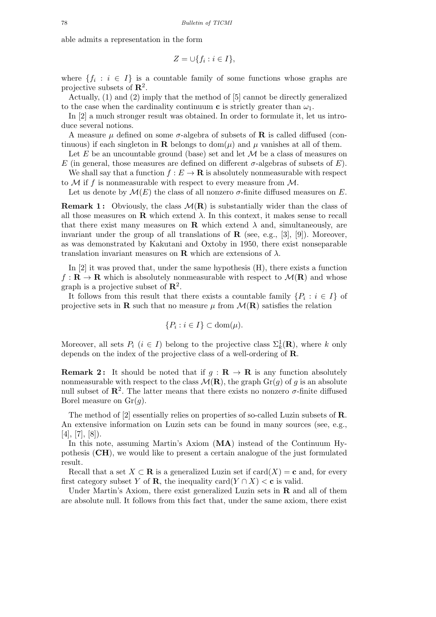able admits a representation in the form

$$
Z = \cup \{ f_i : i \in I \},\
$$

where  $\{f_i : i \in I\}$  is a countable family of some functions whose graphs are projective subsets of **R**<sup>2</sup> .

Actually, (1) and (2) imply that the method of [5] cannot be directly generalized to the case when the cardinality continuum **c** is strictly greater than  $\omega_1$ .

In [2] a much stronger result was obtained. In order to formulate it, let us introduce several notions.

A measure  $\mu$  defined on some  $\sigma$ -algebra of subsets of **R** is called diffused (continuous) if each singleton in **R** belongs to dom( $\mu$ ) and  $\mu$  vanishes at all of them.

Let  $E$  be an uncountable ground (base) set and let  $M$  be a class of measures on *E* (in general, those measures are defined on different  $\sigma$ -algebras of subsets of *E*).

We shall say that a function  $f : E \to \mathbf{R}$  is absolutely nonmeasurable with respect to  $\mathcal M$  if f is nonmeasurable with respect to every measure from  $\mathcal M$ .

Let us denote by  $\mathcal{M}(E)$  the class of all nonzero  $\sigma$ -finite diffused measures on E.

**Remark 1:** Obviously, the class  $\mathcal{M}(\mathbf{R})$  is substantially wider than the class of all those measures on **R** which extend  $\lambda$ . In this context, it makes sense to recall that there exist many measures on **R** which extend  $\lambda$  and, simultaneously, are invariant under the group of all translations of  $\mathbf{R}$  (see, e.g., [3], [9]). Moreover, as was demonstrated by Kakutani and Oxtoby in 1950, there exist nonseparable translation invariant measures on **R** which are extensions of  $\lambda$ .

In [2] it was proved that, under the same hypothesis (H), there exists a function  $f: \mathbf{R} \to \mathbf{R}$  which is absolutely nonmeasurable with respect to  $\mathcal{M}(\mathbf{R})$  and whose graph is a projective subset of **R**<sup>2</sup> .

It follows from this result that there exists a countable family  $\{P_i : i \in I\}$  of projective sets in **R** such that no measure  $\mu$  from  $\mathcal{M}(\mathbf{R})$  satisfies the relation

$$
\{P_i : i \in I\} \subset \text{dom}(\mu).
$$

Moreover, all sets  $P_i$  ( $i \in I$ ) belong to the projective class  $\Sigma_k^1(\mathbf{R})$ , where  $k$  only depends on the index of the projective class of a well-ordering of **R**.

**Remark 2:** It should be noted that if  $g : \mathbf{R} \to \mathbf{R}$  is any function absolutely nonmeasurable with respect to the class  $\mathcal{M}(\mathbf{R})$ , the graph  $\text{Gr}(q)$  of *q* is an absolute null subset of  $\mathbb{R}^2$ . The latter means that there exists no nonzero  $\sigma$ -finite diffused Borel measure on Gr(*g*).

The method of [2] essentially relies on properties of so-called Luzin subsets of **R**. An extensive information on Luzin sets can be found in many sources (see, e.g.,  $[4], [7], [8]$ .

In this note, assuming Martin's Axiom (**MA**) instead of the Continuum Hypothesis (**CH**), we would like to present a certain analogue of the just formulated result.

Recall that a set  $X \subset \mathbf{R}$  is a generalized Luzin set if  $card(X) = \mathbf{c}$  and, for every first category subset *Y* of **R**, the inequality card $(Y \cap X) < c$  is valid.

Under Martin's Axiom, there exist generalized Luzin sets in **R** and all of them are absolute null. It follows from this fact that, under the same axiom, there exist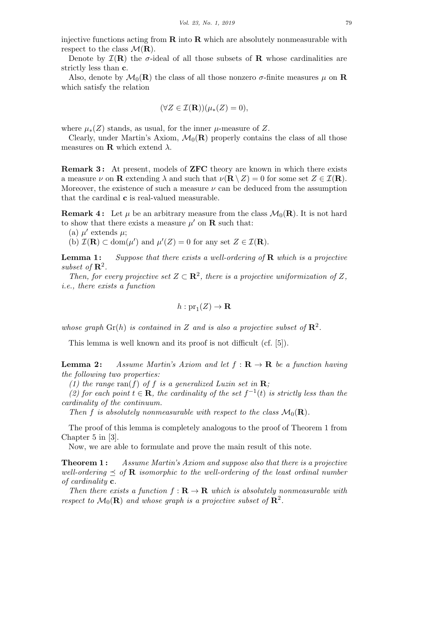injective functions acting from **R** into **R** which are absolutely nonmeasurable with respect to the class  $\mathcal{M}(\mathbf{R})$ .

Denote by  $\mathcal{I}(\mathbf{R})$  the *σ*-ideal of all those subsets of **R** whose cardinalities are strictly less than **c**.

Also, denote by  $\mathcal{M}_0(\mathbf{R})$  the class of all those nonzero  $\sigma$ -finite measures  $\mu$  on  $\mathbf{R}$ which satisfy the relation

$$
(\forall Z \in \mathcal{I}(\mathbf{R})) (\mu_*(Z) = 0),
$$

where  $\mu_*(Z)$  stands, as usual, for the inner  $\mu$ -measure of  $Z$ .

Clearly, under Martin's Axiom,  $\mathcal{M}_0(\mathbf{R})$  properly contains the class of all those measures on **R** which extend  $\lambda$ .

**Remark 3 :** At present, models of **ZFC** theory are known in which there exists a measure  $\nu$  on **R** extending  $\lambda$  and such that  $\nu(\mathbf{R} \setminus Z) = 0$  for some set  $Z \in \mathcal{I}(\mathbf{R})$ . Moreover, the existence of such a measure  $\nu$  can be deduced from the assumption that the cardinal **c** is real-valued measurable.

**Remark 4:** Let  $\mu$  be an arbitrary measure from the class  $\mathcal{M}_0(\mathbf{R})$ . It is not hard to show that there exists a measure  $\mu'$  on **R** such that:

(a)  $\mu'$  extends  $\mu$ ;

(b)  $\mathcal{I}(\mathbf{R}) \subset \text{dom}(\mu')$  and  $\mu'(Z) = 0$  for any set  $Z \in \mathcal{I}(\mathbf{R})$ .

subset of  $\mathbb{R}^2$ . **Lemma 1 :** *Suppose that there exists a well-ordering of* **R** *which is a projective*

*Then, for every projective set*  $Z \subset \mathbb{R}^2$ , there is a projective uniformization of Z, *i.e., there exists a function*

$$
h:pr_1(Z)\to{\bf R}
$$

*whose graph*  $\mathrm{Gr}(h)$  *is contained in Z and is also a projective subset of*  $\mathbb{R}^2$ *.* 

This lemma is well known and its proof is not difficult (cf. [5]).

*the following two properties:* **Lemma 2:** *Assume Martin's Axiom and let*  $f: \mathbf{R} \to \mathbf{R}$  *be a function having* 

*(1) the range*  $\text{ran}(f)$  *of f is a generalized Luzin set in* **R***;* 

*(2)* for each point  $t \in \mathbb{R}$ , the cardinality of the set  $f^{-1}(t)$  is strictly less than the *cardinality of the continuum.*

*Then f is absolutely nonmeasurable with respect to the class*  $M_0(\mathbf{R})$ *.* 

The proof of this lemma is completely analogous to the proof of Theorem 1 from Chapter 5 in [3].

Now, we are able to formulate and prove the main result of this note.

*of cardinality* **c***.* **Theorem 1 :** *Assume Martin's Axiom and suppose also that there is a projective well-ordering*  $\leq$  *of* **R** *isomorphic to the well-ordering of the least ordinal number* 

*Then there exists a function*  $f: \mathbf{R} \to \mathbf{R}$  *which is absolutely nonmeasurable with respect to*  $\mathcal{M}_0(\mathbf{R})$  *and whose graph is a projective subset of*  $\mathbf{R}^2$ .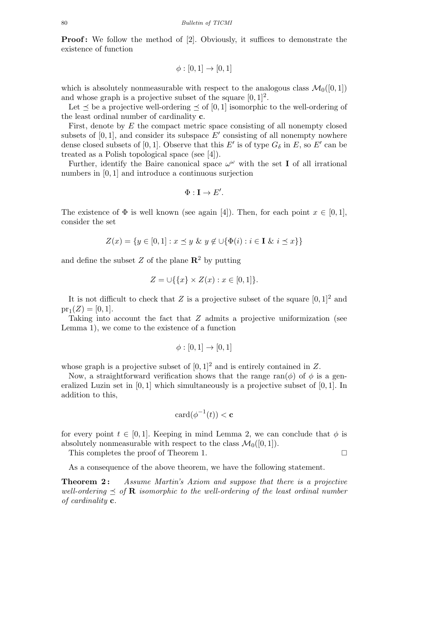**Proof:** We follow the method of [2]. Obviously, it suffices to demonstrate the existence of function

$$
\phi : [0,1] \to [0,1]
$$

which is absolutely nonmeasurable with respect to the analogous class  $\mathcal{M}_0([0,1])$ and whose graph is a projective subset of the square  $[0, 1]^2$ .

Let *≼* be a projective well-ordering *≼* of [0*,* 1] isomorphic to the well-ordering of the least ordinal number of cardinality **c**.

First, denote by *E* the compact metric space consisting of all nonempty closed subsets of  $[0,1]$ , and consider its subspace  $E'$  consisting of all nonempty nowhere dense closed subsets of [0, 1]. Observe that this  $E'$  is of type  $G_{\delta}$  in  $E$ , so  $E'$  can be treated as a Polish topological space (see [4]).

Further, identify the Baire canonical space  $\omega^{\omega}$  with the set **I** of all irrational numbers in [0*,* 1] and introduce a continuous surjection

$$
\Phi: \mathbf{I} \to E'.
$$

The existence of  $\Phi$  is well known (see again [4]). Then, for each point  $x \in [0, 1]$ , consider the set

$$
Z(x) = \{ y \in [0,1] : x \le y \& y \notin \cup \{ \Phi(i) : i \in I \& i \le x \} \}
$$

and define the subset  $Z$  of the plane  $\mathbb{R}^2$  by putting

$$
Z = \cup \{ \{x\} \times Z(x) : x \in [0,1] \}.
$$

It is not difficult to check that  $Z$  is a projective subset of the square  $[0, 1]^2$  and  $pr_1(Z) = [0, 1].$ 

Taking into account the fact that *Z* admits a projective uniformization (see Lemma 1), we come to the existence of a function

$$
\phi : [0,1] \to [0,1]
$$

whose graph is a projective subset of  $[0, 1]^2$  and is entirely contained in  $Z$ .

Now, a straightforward verification shows that the range ran( $\phi$ ) of  $\phi$  is a generalized Luzin set in [0*,* 1] which simultaneously is a projective subset of [0*,* 1]. In addition to this,

$$
card(\phi^{-1}(t)) < \mathbf{c}
$$

for every point  $t \in [0,1]$ . Keeping in mind Lemma 2, we can conclude that  $\phi$  is absolutely nonmeasurable with respect to the class  $\mathcal{M}_0([0,1])$ .

This completes the proof of Theorem 1.

As a consequence of the above theorem, we have the following statement.

*of cardinality* **c***.* **Theorem 2 :** *Assume Martin's Axiom and suppose that there is a projective well-ordering*  $\leq$  *of* **R** *isomorphic to the well-ordering of the least ordinal number*